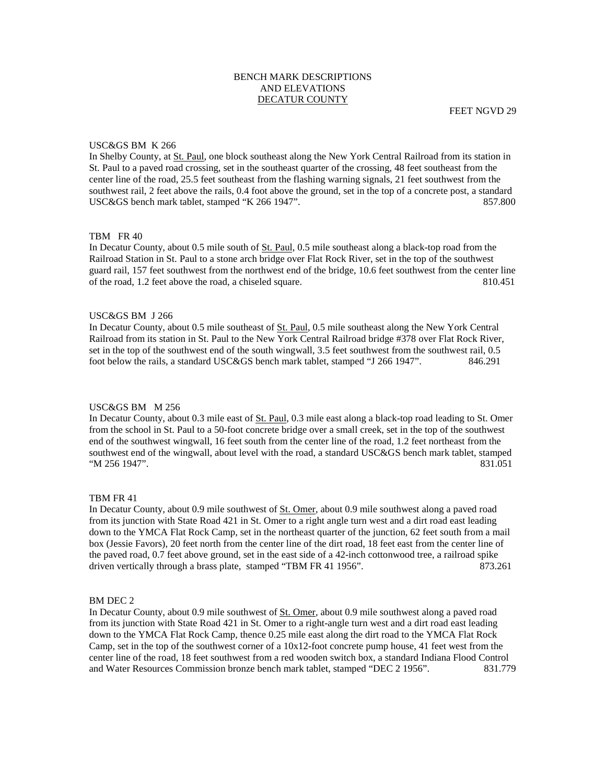# BENCH MARK DESCRIPTIONS AND ELEVATIONS DECATUR COUNTY

## USC&GS BM K 266

In Shelby County, at St. Paul, one block southeast along the New York Central Railroad from its station in St. Paul to a paved road crossing, set in the southeast quarter of the crossing, 48 feet southeast from the center line of the road, 25.5 feet southeast from the flashing warning signals, 21 feet southwest from the southwest rail, 2 feet above the rails, 0.4 foot above the ground, set in the top of a concrete post, a standard USC&GS bench mark tablet, stamped "K 266 1947". 857.800

# TBM FR 40

In Decatur County, about 0.5 mile south of St. Paul, 0.5 mile southeast along a black-top road from the Railroad Station in St. Paul to a stone arch bridge over Flat Rock River, set in the top of the southwest guard rail, 157 feet southwest from the northwest end of the bridge, 10.6 feet southwest from the center line of the road, 1.2 feet above the road, a chiseled square. 810.451

## USC&GS BM J 266

In Decatur County, about 0.5 mile southeast of <u>St. Paul</u>, 0.5 mile southeast along the New York Central Railroad from its station in St. Paul to the New York Central Railroad bridge #378 over Flat Rock River, set in the top of the southwest end of the south wingwall, 3.5 feet southwest from the southwest rail, 0.5 foot below the rails, a standard USC&GS bench mark tablet, stamped "J 266 1947". 846.291

## USC&GS BM M 256

In Decatur County, about 0.3 mile east of St. Paul, 0.3 mile east along a black-top road leading to St. Omer from the school in St. Paul to a 50-foot concrete bridge over a small creek, set in the top of the southwest end of the southwest wingwall, 16 feet south from the center line of the road, 1.2 feet northeast from the southwest end of the wingwall, about level with the road, a standard USC&GS bench mark tablet, stamped "M 256 1947". 831.051

### TBM FR 41

In Decatur County, about 0.9 mile southwest of St. Omer, about 0.9 mile southwest along a paved road from its junction with State Road 421 in St. Omer to a right angle turn west and a dirt road east leading down to the YMCA Flat Rock Camp, set in the northeast quarter of the junction, 62 feet south from a mail box (Jessie Favors), 20 feet north from the center line of the dirt road, 18 feet east from the center line of the paved road, 0.7 feet above ground, set in the east side of a 42-inch cottonwood tree, a railroad spike driven vertically through a brass plate, stamped "TBM FR 41 1956". 873.261

### BM DEC 2

In Decatur County, about 0.9 mile southwest of St. Omer, about 0.9 mile southwest along a paved road from its junction with State Road 421 in St. Omer to a right-angle turn west and a dirt road east leading down to the YMCA Flat Rock Camp, thence 0.25 mile east along the dirt road to the YMCA Flat Rock Camp, set in the top of the southwest corner of a  $10x12$ -foot concrete pump house, 41 feet west from the center line of the road, 18 feet southwest from a red wooden switch box, a standard Indiana Flood Control and Water Resources Commission bronze bench mark tablet, stamped "DEC 2 1956". 831.779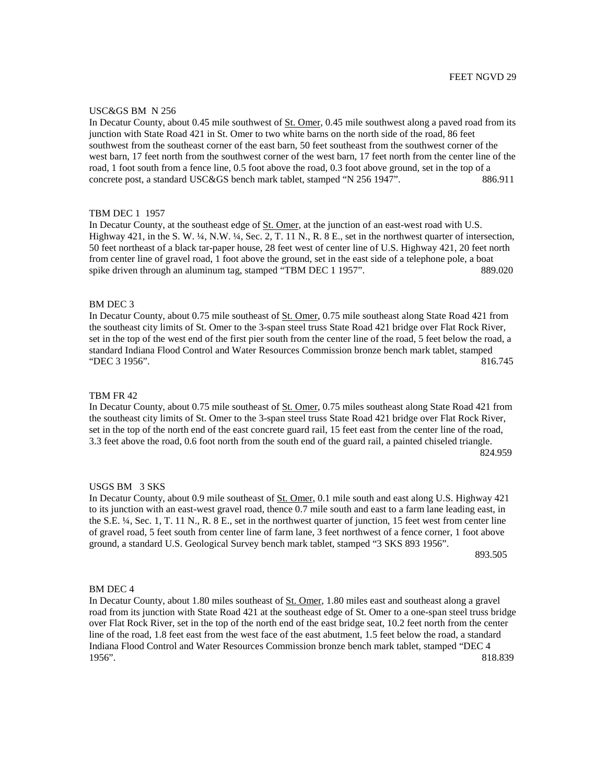### USC&GS BM N 256

In Decatur County, about 0.45 mile southwest of St. Omer, 0.45 mile southwest along a paved road from its junction with State Road 421 in St. Omer to two white barns on the north side of the road, 86 feet southwest from the southeast corner of the east barn, 50 feet southeast from the southwest corner of the west barn, 17 feet north from the southwest corner of the west barn, 17 feet north from the center line of the road, 1 foot south from a fence line, 0.5 foot above the road, 0.3 foot above ground, set in the top of a concrete post, a standard USC&GS bench mark tablet, stamped "N 256 1947". 886.911

## TBM DEC 1 1957

In Decatur County, at the southeast edge of St. Omer, at the junction of an east-west road with U.S. Highway 421, in the S. W. ¼, N.W. ¼, Sec. 2, T. 11 N., R. 8 E., set in the northwest quarter of intersection, 50 feet northeast of a black tar-paper house, 28 feet west of center line of U.S. Highway 421, 20 feet north from center line of gravel road, 1 foot above the ground, set in the east side of a telephone pole, a boat spike driven through an aluminum tag, stamped "TBM DEC 1 1957". 889.020

## BM DEC 3

In Decatur County, about 0.75 mile southeast of St. Omer, 0.75 mile southeast along State Road 421 from the southeast city limits of St. Omer to the 3-span steel truss State Road 421 bridge over Flat Rock River, set in the top of the west end of the first pier south from the center line of the road, 5 feet below the road, a standard Indiana Flood Control and Water Resources Commission bronze bench mark tablet, stamped "DEC 3 1956". 816.745

### TBM FR 42

In Decatur County, about 0.75 mile southeast of St. Omer, 0.75 miles southeast along State Road 421 from the southeast city limits of St. Omer to the 3-span steel truss State Road 421 bridge over Flat Rock River, set in the top of the north end of the east concrete guard rail, 15 feet east from the center line of the road, 3.3 feet above the road, 0.6 foot north from the south end of the guard rail, a painted chiseled triangle. 824.959

# USGS BM 3 SKS

In Decatur County, about 0.9 mile southeast of St. Omer, 0.1 mile south and east along U.S. Highway 421 to its junction with an east-west gravel road, thence 0.7 mile south and east to a farm lane leading east, in the S.E. ¼, Sec. 1, T. 11 N., R. 8 E., set in the northwest quarter of junction, 15 feet west from center line of gravel road, 5 feet south from center line of farm lane, 3 feet northwest of a fence corner, 1 foot above ground, a standard U.S. Geological Survey bench mark tablet, stamped "3 SKS 893 1956".

893.505

# BM DEC 4

In Decatur County, about 1.80 miles southeast of St. Omer, 1.80 miles east and southeast along a gravel road from its junction with State Road 421 at the southeast edge of St. Omer to a one-span steel truss bridge over Flat Rock River, set in the top of the north end of the east bridge seat, 10.2 feet north from the center line of the road, 1.8 feet east from the west face of the east abutment, 1.5 feet below the road, a standard Indiana Flood Control and Water Resources Commission bronze bench mark tablet, stamped "DEC 4 1956". 818.839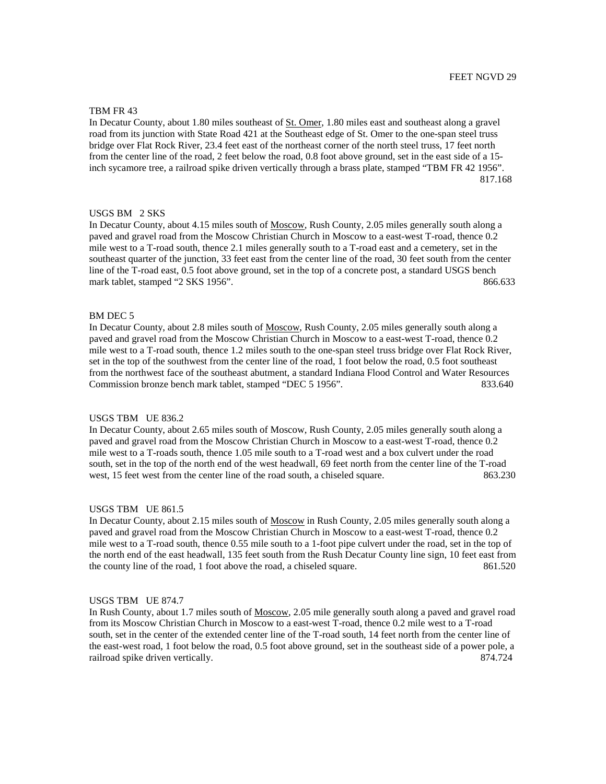### TBM FR 43

In Decatur County, about 1.80 miles southeast of St. Omer, 1.80 miles east and southeast along a gravel road from its junction with State Road 421 at the Southeast edge of St. Omer to the one-span steel truss bridge over Flat Rock River, 23.4 feet east of the northeast corner of the north steel truss, 17 feet north from the center line of the road, 2 feet below the road, 0.8 foot above ground, set in the east side of a 15 inch sycamore tree, a railroad spike driven vertically through a brass plate, stamped "TBM FR 42 1956". 817.168

# USGS BM 2 SKS

In Decatur County, about 4.15 miles south of Moscow, Rush County, 2.05 miles generally south along a paved and gravel road from the Moscow Christian Church in Moscow to a east-west T-road, thence 0.2 mile west to a T-road south, thence 2.1 miles generally south to a T-road east and a cemetery, set in the southeast quarter of the junction, 33 feet east from the center line of the road, 30 feet south from the center line of the T-road east, 0.5 foot above ground, set in the top of a concrete post, a standard USGS bench mark tablet, stamped "2 SKS 1956". 866.633

#### BM DEC 5

In Decatur County, about 2.8 miles south of Moscow, Rush County, 2.05 miles generally south along a paved and gravel road from the Moscow Christian Church in Moscow to a east-west T-road, thence 0.2 mile west to a T-road south, thence 1.2 miles south to the one-span steel truss bridge over Flat Rock River, set in the top of the southwest from the center line of the road, 1 foot below the road, 0.5 foot southeast from the northwest face of the southeast abutment, a standard Indiana Flood Control and Water Resources Commission bronze bench mark tablet, stamped "DEC 5 1956". 833.640

## USGS TBM UE 836.2

In Decatur County, about 2.65 miles south of Moscow, Rush County, 2.05 miles generally south along a paved and gravel road from the Moscow Christian Church in Moscow to a east-west T-road, thence 0.2 mile west to a T-roads south, thence 1.05 mile south to a T-road west and a box culvert under the road south, set in the top of the north end of the west headwall, 69 feet north from the center line of the T-road west, 15 feet west from the center line of the road south, a chiseled square. 863.230

### USGS TBM UE 861.5

In Decatur County, about 2.15 miles south of Moscow in Rush County, 2.05 miles generally south along a paved and gravel road from the Moscow Christian Church in Moscow to a east-west T-road, thence 0.2 mile west to a T-road south, thence 0.55 mile south to a 1-foot pipe culvert under the road, set in the top of the north end of the east headwall, 135 feet south from the Rush Decatur County line sign, 10 feet east from the county line of the road, 1 foot above the road, a chiseled square. 861.520

# USGS TBM UE 874.7

In Rush County, about 1.7 miles south of Moscow, 2.05 mile generally south along a paved and gravel road from its Moscow Christian Church in Moscow to a east-west T-road, thence 0.2 mile west to a T-road south, set in the center of the extended center line of the T-road south, 14 feet north from the center line of the east-west road, 1 foot below the road, 0.5 foot above ground, set in the southeast side of a power pole, a railroad spike driven vertically. 874.724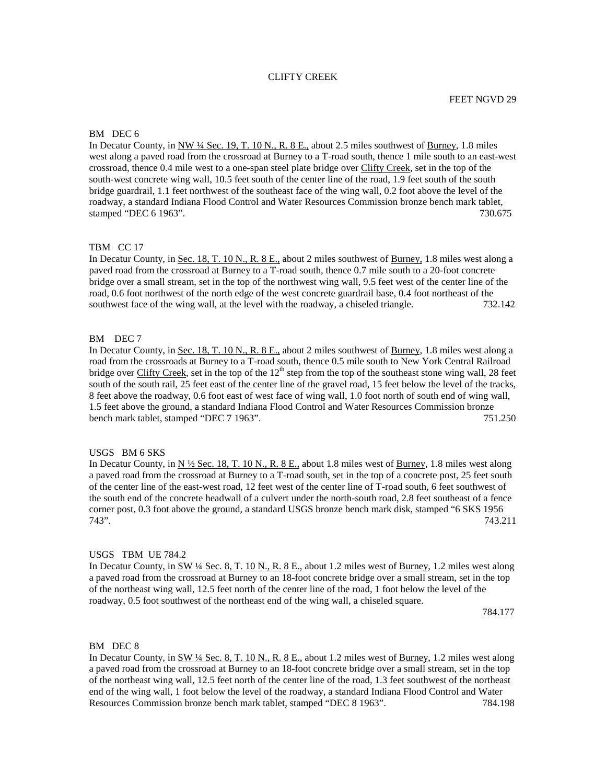# CLIFTY CREEK

### BM DEC 6

In Decatur County, in NW ¼ Sec. 19, T. 10 N., R. 8 E., about 2.5 miles southwest of Burney, 1.8 miles west along a paved road from the crossroad at Burney to a T-road south, thence 1 mile south to an east-west crossroad, thence 0.4 mile west to a one-span steel plate bridge over Clifty Creek, set in the top of the south-west concrete wing wall, 10.5 feet south of the center line of the road, 1.9 feet south of the south bridge guardrail, 1.1 feet northwest of the southeast face of the wing wall, 0.2 foot above the level of the roadway, a standard Indiana Flood Control and Water Resources Commission bronze bench mark tablet, stamped "DEC 6 1963". 730.675

### TBM CC 17

In Decatur County, in Sec. 18, T. 10 N., R. 8 E., about 2 miles southwest of Burney, 1.8 miles west along a paved road from the crossroad at Burney to a T-road south, thence 0.7 mile south to a 20-foot concrete bridge over a small stream, set in the top of the northwest wing wall, 9.5 feet west of the center line of the road, 0.6 foot northwest of the north edge of the west concrete guardrail base, 0.4 foot northeast of the southwest face of the wing wall, at the level with the roadway, a chiseled triangle. 732.142

# BM DEC 7

In Decatur County, in Sec. 18, T. 10 N., R. 8 E., about 2 miles southwest of Burney, 1.8 miles west along a road from the crossroads at Burney to a T-road south, thence 0.5 mile south to New York Central Railroad bridge over Clifty Creek, set in the top of the  $12<sup>th</sup>$  step from the top of the southeast stone wing wall, 28 feet south of the south rail, 25 feet east of the center line of the gravel road, 15 feet below the level of the tracks, 8 feet above the roadway, 0.6 foot east of west face of wing wall, 1.0 foot north of south end of wing wall, 1.5 feet above the ground, a standard Indiana Flood Control and Water Resources Commission bronze bench mark tablet, stamped "DEC 7 1963". 751.250

### USGS BM 6 SKS

In Decatur County, in N  $\frac{1}{2}$  Sec. 18, T. 10 N., R. 8 E., about 1.8 miles west of Burney, 1.8 miles west along a paved road from the crossroad at Burney to a T-road south, set in the top of a concrete post, 25 feet south of the center line of the east-west road, 12 feet west of the center line of T-road south, 6 feet southwest of the south end of the concrete headwall of a culvert under the north-south road, 2.8 feet southeast of a fence corner post, 0.3 foot above the ground, a standard USGS bronze bench mark disk, stamped "6 SKS 1956 743". 743.211

# USGS TBM UE 784.2

In Decatur County, in SW ¼ Sec. 8, T. 10 N., R. 8 E., about 1.2 miles west of Burney, 1.2 miles west along a paved road from the crossroad at Burney to an 18-foot concrete bridge over a small stream, set in the top of the northeast wing wall, 12.5 feet north of the center line of the road, 1 foot below the level of the roadway, 0.5 foot southwest of the northeast end of the wing wall, a chiseled square.

784.177

#### BM DEC 8

In Decatur County, in SW <sup>1</sup>/4 Sec. 8, T. 10 N., R. 8 E., about 1.2 miles west of Burney, 1.2 miles west along a paved road from the crossroad at Burney to an 18-foot concrete bridge over a small stream, set in the top of the northeast wing wall, 12.5 feet north of the center line of the road, 1.3 feet southwest of the northeast end of the wing wall, 1 foot below the level of the roadway, a standard Indiana Flood Control and Water Resources Commission bronze bench mark tablet, stamped "DEC 8 1963". 784.198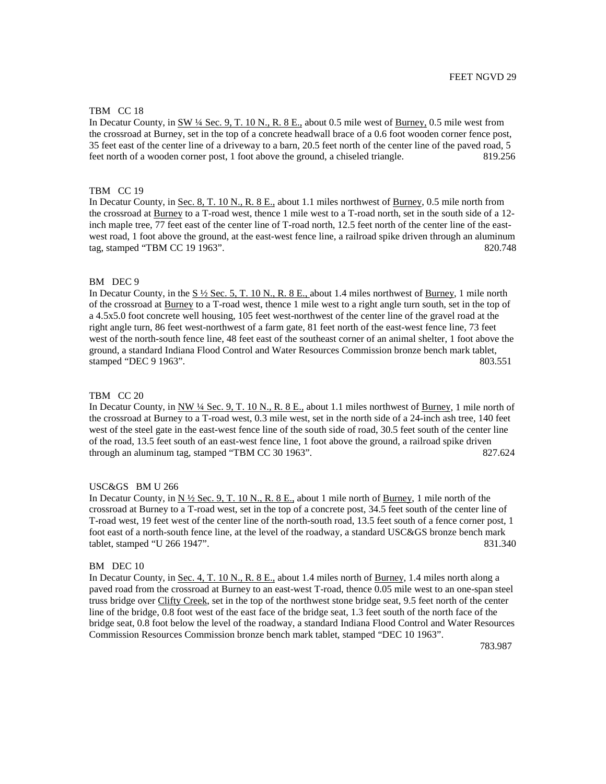## TBM CC 18

In Decatur County, in SW ¼ Sec. 9, T. 10 N., R. 8 E., about 0.5 mile west of Burney, 0.5 mile west from the crossroad at Burney, set in the top of a concrete headwall brace of a 0.6 foot wooden corner fence post, 35 feet east of the center line of a driveway to a barn, 20.5 feet north of the center line of the paved road, 5 feet north of a wooden corner post, 1 foot above the ground, a chiseled triangle. 819.256

### TBM CC 19

In Decatur County, in Sec. 8, T. 10 N., R. 8 E., about 1.1 miles northwest of Burney, 0.5 mile north from the crossroad at Burney to a T-road west, thence 1 mile west to a T-road north, set in the south side of a 12 inch maple tree, 77 feet east of the center line of T-road north, 12.5 feet north of the center line of the eastwest road, 1 foot above the ground, at the east-west fence line, a railroad spike driven through an aluminum tag, stamped "TBM CC 19 1963". 820.748

#### BM DEC 9

In Decatur County, in the  $S\frac{1}{2}$  Sec. 5, T. 10 N., R. 8 E., about 1.4 miles northwest of Burney, 1 mile north of the crossroad at Burney to a T-road west, thence 1 mile west to a right angle turn south, set in the top of a 4.5x5.0 foot concrete well housing, 105 feet west-northwest of the center line of the gravel road at the right angle turn, 86 feet west-northwest of a farm gate, 81 feet north of the east-west fence line, 73 feet west of the north-south fence line, 48 feet east of the southeast corner of an animal shelter, 1 foot above the ground, a standard Indiana Flood Control and Water Resources Commission bronze bench mark tablet, stamped "DEC 9 1963". 803.551

### TBM CC 20

In Decatur County, in NW ¼ Sec. 9, T. 10 N., R. 8 E., about 1.1 miles northwest of Burney, 1 mile north of the crossroad at Burney to a T-road west, 0.3 mile west, set in the north side of a 24-inch ash tree, 140 feet west of the steel gate in the east-west fence line of the south side of road, 30.5 feet south of the center line of the road, 13.5 feet south of an east-west fence line, 1 foot above the ground, a railroad spike driven through an aluminum tag, stamped "TBM CC 30 1963". 827.624

#### USC&GS BM U 266

In Decatur County, in  $N \frac{1}{2}$  Sec. 9, T. 10 N., R. 8 E., about 1 mile north of Burney, 1 mile north of the crossroad at Burney to a T-road west, set in the top of a concrete post, 34.5 feet south of the center line of T-road west, 19 feet west of the center line of the north-south road, 13.5 feet south of a fence corner post, 1 foot east of a north-south fence line, at the level of the roadway, a standard USC&GS bronze bench mark tablet, stamped "U 266 1947". 831.340

#### BM DEC 10

In Decatur County, in Sec. 4, T. 10 N., R. 8 E., about 1.4 miles north of Burney, 1.4 miles north along a paved road from the crossroad at Burney to an east-west T-road, thence 0.05 mile west to an one-span steel truss bridge over Clifty Creek, set in the top of the northwest stone bridge seat, 9.5 feet north of the center line of the bridge, 0.8 foot west of the east face of the bridge seat, 1.3 feet south of the north face of the bridge seat, 0.8 foot below the level of the roadway, a standard Indiana Flood Control and Water Resources Commission Resources Commission bronze bench mark tablet, stamped "DEC 10 1963".

783.987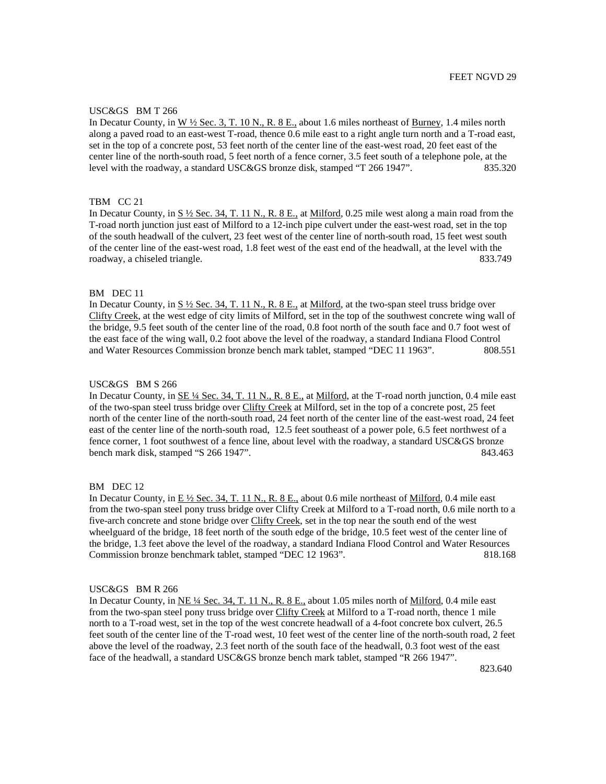## USC&GS BM T 266

In Decatur County, in W ½ Sec. 3, T. 10 N., R. 8 E., about 1.6 miles northeast of Burney, 1.4 miles north along a paved road to an east-west T-road, thence 0.6 mile east to a right angle turn north and a T-road east, set in the top of a concrete post, 53 feet north of the center line of the east-west road, 20 feet east of the center line of the north-south road, 5 feet north of a fence corner, 3.5 feet south of a telephone pole, at the level with the roadway, a standard USC&GS bronze disk, stamped "T 266 1947". 835.320

# TBM CC 21

In Decatur County, in S  $\frac{1}{2}$  Sec. 34, T. 11 N., R. 8 E., at Milford, 0.25 mile west along a main road from the T-road north junction just east of Milford to a 12-inch pipe culvert under the east-west road, set in the top of the south headwall of the culvert, 23 feet west of the center line of north-south road, 15 feet west south of the center line of the east-west road, 1.8 feet west of the east end of the headwall, at the level with the roadway, a chiseled triangle. **833.749**  $\frac{833.749}{\sqrt{6}}$ 

# BM DEC 11

In Decatur County, in  $S\frac{1}{2}$  Sec. 34, T. 11 N., R. 8 E., at Milford, at the two-span steel truss bridge over Clifty Creek, at the west edge of city limits of Milford, set in the top of the southwest concrete wing wall of the bridge, 9.5 feet south of the center line of the road, 0.8 foot north of the south face and 0.7 foot west of the east face of the wing wall, 0.2 foot above the level of the roadway, a standard Indiana Flood Control and Water Resources Commission bronze bench mark tablet, stamped "DEC 11 1963". 808.551

## USC&GS BM S 266

In Decatur County, in SE ¼ Sec. 34, T. 11 N., R. 8 E., at Milford, at the T-road north junction, 0.4 mile east of the two-span steel truss bridge over Clifty Creek at Milford, set in the top of a concrete post, 25 feet north of the center line of the north-south road, 24 feet north of the center line of the east-west road, 24 feet east of the center line of the north-south road, 12.5 feet southeast of a power pole, 6.5 feet northwest of a fence corner, 1 foot southwest of a fence line, about level with the roadway, a standard USC&GS bronze bench mark disk, stamped "S 266 1947". 843.463

### BM DEC 12

In Decatur County, in  $E\frac{1}{2}$  Sec. 34, T. 11 N., R. 8 E., about 0.6 mile northeast of Milford, 0.4 mile east from the two-span steel pony truss bridge over Clifty Creek at Milford to a T-road north, 0.6 mile north to a five-arch concrete and stone bridge over Clifty Creek, set in the top near the south end of the west wheelguard of the bridge, 18 feet north of the south edge of the bridge, 10.5 feet west of the center line of the bridge, 1.3 feet above the level of the roadway, a standard Indiana Flood Control and Water Resources Commission bronze benchmark tablet, stamped "DEC 12 1963". 818.168

# USC&GS BM R 266

In Decatur County, in NE ¼ Sec. 34, T. 11 N., R. 8 E., about 1.05 miles north of Milford, 0.4 mile east from the two-span steel pony truss bridge over Clifty Creek at Milford to a T-road north, thence 1 mile north to a T-road west, set in the top of the west concrete headwall of a 4-foot concrete box culvert, 26.5 feet south of the center line of the T-road west, 10 feet west of the center line of the north-south road, 2 feet above the level of the roadway, 2.3 feet north of the south face of the headwall, 0.3 foot west of the east face of the headwall, a standard USC&GS bronze bench mark tablet, stamped "R 266 1947".

**823.640 823.640**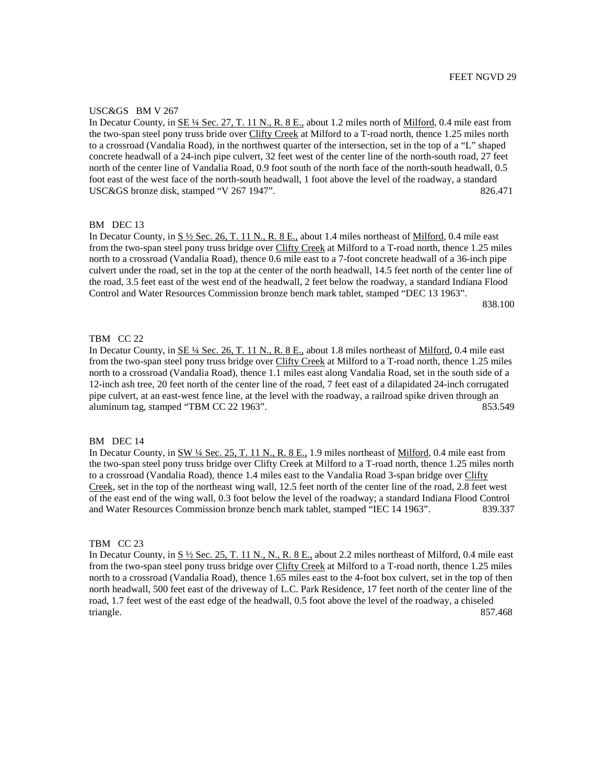## USC&GS BM V 267

In Decatur County, in SE ¼ Sec. 27, T. 11 N., R. 8 E., about 1.2 miles north of Milford, 0.4 mile east from the two-span steel pony truss bride over Clifty Creek at Milford to a T-road north, thence 1.25 miles north to a crossroad (Vandalia Road), in the northwest quarter of the intersection, set in the top of a "L" shaped concrete headwall of a 24-inch pipe culvert, 32 feet west of the center line of the north-south road, 27 feet north of the center line of Vandalia Road, 0.9 foot south of the north face of the north-south headwall, 0.5 foot east of the west face of the north-south headwall, 1 foot above the level of the roadway, a standard USC&GS bronze disk, stamped "V 267 1947". 826.471

# BM DEC 13

In Decatur County, in  $S \frac{1}{2}$  Sec. 26, T. 11 N., R. 8 E., about 1.4 miles northeast of Milford, 0.4 mile east from the two-span steel pony truss bridge over Clifty Creek at Milford to a T-road north, thence 1.25 miles north to a crossroad (Vandalia Road), thence 0.6 mile east to a 7-foot concrete headwall of a 36-inch pipe culvert under the road, set in the top at the center of the north headwall, 14.5 feet north of the center line of the road, 3.5 feet east of the west end of the headwall, 2 feet below the roadway, a standard Indiana Flood Control and Water Resources Commission bronze bench mark tablet, stamped "DEC 13 1963".

838.100

# TBM CC 22

In Decatur County, in SE ¼ Sec. 26, T. 11 N., R. 8 E., about 1.8 miles northeast of Milford, 0.4 mile east from the two-span steel pony truss bridge over Clifty Creek at Milford to a T-road north, thence 1.25 miles north to a crossroad (Vandalia Road), thence 1.1 miles east along Vandalia Road, set in the south side of a 12-inch ash tree, 20 feet north of the center line of the road, 7 feet east of a dilapidated 24-inch corrugated pipe culvert, at an east-west fence line, at the level with the roadway, a railroad spike driven through an aluminum tag, stamped "TBM CC 22 1963". 853.549

### BM DEC 14

In Decatur County, in SW ¼ Sec. 25, T. 11 N., R. 8 E., 1.9 miles northeast of Milford, 0.4 mile east from the two-span steel pony truss bridge over Clifty Creek at Milford to a T-road north, thence 1.25 miles north to a crossroad (Vandalia Road), thence 1.4 miles east to the Vandalia Road 3-span bridge over Clifty Creek, set in the top of the northeast wing wall, 12.5 feet north of the center line of the road, 2.8 feet west of the east end of the wing wall, 0.3 foot below the level of the roadway; a standard Indiana Flood Control and Water Resources Commission bronze bench mark tablet, stamped "IEC 14 1963". 839.337

## TBM CC 23

In Decatur County, in  $S\frac{1}{2}$  Sec. 25, T. 11 N., N., R. 8 E., about 2.2 miles northeast of Milford, 0.4 mile east from the two-span steel pony truss bridge over Clifty Creek at Milford to a T-road north, thence 1.25 miles north to a crossroad (Vandalia Road), thence 1.65 miles east to the 4-foot box culvert, set in the top of then north headwall, 500 feet east of the driveway of L.C. Park Residence, 17 feet north of the center line of the road, 1.7 feet west of the east edge of the headwall, 0.5 foot above the level of the roadway, a chiseled triangle. 857.468 and 857.468 and 857.468 and 857.468 and 857.468 and 857.468 and 857.468 and 857.468 and 857.468 and 857.468 and 857.468 and 857.468 and 857.468 and 857.468 and 857.468 and 857.468 and 857.468 and 857.468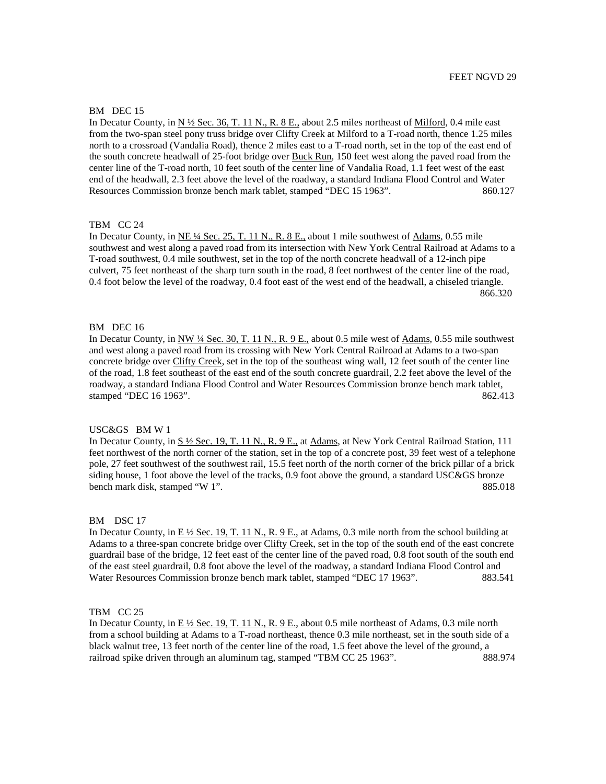### BM DEC 15

In Decatur County, in N ½ Sec. 36, T. 11 N., R. 8 E., about 2.5 miles northeast of Milford, 0.4 mile east from the two-span steel pony truss bridge over Clifty Creek at Milford to a T-road north, thence 1.25 miles north to a crossroad (Vandalia Road), thence 2 miles east to a T-road north, set in the top of the east end of the south concrete headwall of 25-foot bridge over Buck Run, 150 feet west along the paved road from the center line of the T-road north, 10 feet south of the center line of Vandalia Road, 1.1 feet west of the east end of the headwall, 2.3 feet above the level of the roadway, a standard Indiana Flood Control and Water Resources Commission bronze bench mark tablet, stamped "DEC 15 1963". 860.127

### TBM CC 24

In Decatur County, in  $NE \frac{1}{4}$  Sec. 25, T. 11 N., R. 8 E., about 1 mile southwest of Adams, 0.55 mile southwest and west along a paved road from its intersection with New York Central Railroad at Adams to a T-road southwest, 0.4 mile southwest, set in the top of the north concrete headwall of a 12-inch pipe culvert, 75 feet northeast of the sharp turn south in the road, 8 feet northwest of the center line of the road, 0.4 foot below the level of the roadway, 0.4 foot east of the west end of the headwall, a chiseled triangle. **866.320 866.320** 

# BM DEC 16

In Decatur County, in NW ¼ Sec. 30, T. 11 N., R. 9 E., about 0.5 mile west of Adams, 0.55 mile southwest and west along a paved road from its crossing with New York Central Railroad at Adams to a two-span concrete bridge over Clifty Creek, set in the top of the southeast wing wall, 12 feet south of the center line of the road, 1.8 feet southeast of the east end of the south concrete guardrail, 2.2 feet above the level of the roadway, a standard Indiana Flood Control and Water Resources Commission bronze bench mark tablet, stamped "DEC 16 1963". 862.413

# USC&GS BM W 1

In Decatur County, in S ½ Sec. 19, T. 11 N., R. 9 E., at Adams, at New York Central Railroad Station, 111 feet northwest of the north corner of the station, set in the top of a concrete post, 39 feet west of a telephone pole, 27 feet southwest of the southwest rail, 15.5 feet north of the north corner of the brick pillar of a brick siding house, 1 foot above the level of the tracks, 0.9 foot above the ground, a standard USC&GS bronze bench mark disk, stamped "W 1". 885.018

### BM DSC 17

In Decatur County, in  $E\frac{1}{2}$  Sec. 19, T. 11 N., R. 9 E., at Adams, 0.3 mile north from the school building at Adams to a three-span concrete bridge over Clifty Creek, set in the top of the south end of the east concrete guardrail base of the bridge, 12 feet east of the center line of the paved road, 0.8 foot south of the south end of the east steel guardrail, 0.8 foot above the level of the roadway, a standard Indiana Flood Control and Water Resources Commission bronze bench mark tablet, stamped "DEC 17 1963". 883.541

## TBM CC 25

In Decatur County, in  $E\frac{1}{2}$  Sec. 19, T. 11 N., R. 9 E., about 0.5 mile northeast of Adams, 0.3 mile north from a school building at Adams to a T-road northeast, thence 0.3 mile northeast, set in the south side of a black walnut tree, 13 feet north of the center line of the road, 1.5 feet above the level of the ground, a railroad spike driven through an aluminum tag, stamped "TBM CC 25 1963". 888.974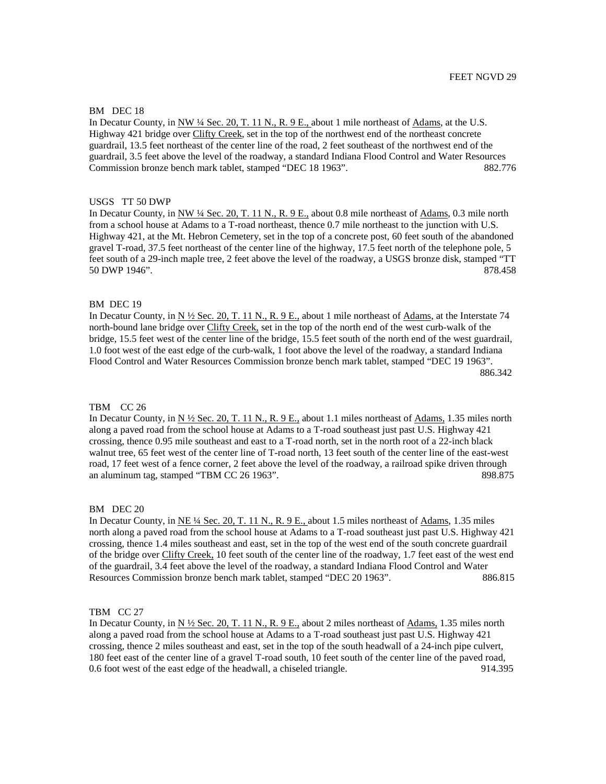## BM DEC 18

In Decatur County, in NW ¼ Sec. 20, T. 11 N., R. 9 E., about 1 mile northeast of Adams, at the U.S. Highway 421 bridge over Clifty Creek, set in the top of the northwest end of the northeast concrete guardrail, 13.5 feet northeast of the center line of the road, 2 feet southeast of the northwest end of the guardrail, 3.5 feet above the level of the roadway, a standard Indiana Flood Control and Water Resources Commission bronze bench mark tablet, stamped "DEC 18 1963". 882.776

## USGS TT 50 DWP

In Decatur County, in NW ¼ Sec. 20, T. 11 N., R. 9 E., about 0.8 mile northeast of Adams, 0.3 mile north from a school house at Adams to a T-road northeast, thence 0.7 mile northeast to the junction with U.S. Highway 421, at the Mt. Hebron Cemetery, set in the top of a concrete post, 60 feet south of the abandoned gravel T-road, 37.5 feet northeast of the center line of the highway, 17.5 feet north of the telephone pole, 5 feet south of a 29-inch maple tree, 2 feet above the level of the roadway, a USGS bronze disk, stamped "TT 50 DWP 1946". 878.458

# BM DEC 19

In Decatur County, in  $N \frac{1}{2}$  Sec. 20, T. 11 N., R. 9 E., about 1 mile northeast of Adams, at the Interstate 74 north-bound lane bridge over Clifty Creek, set in the top of the north end of the west curb-walk of the bridge, 15.5 feet west of the center line of the bridge, 15.5 feet south of the north end of the west guardrail, 1.0 foot west of the east edge of the curb-walk, 1 foot above the level of the roadway, a standard Indiana Flood Control and Water Resources Commission bronze bench mark tablet, stamped "DEC 19 1963". 886.342

### TBM CC 26

In Decatur County, in N 1/2 Sec. 20, T. 11 N., R. 9 E., about 1.1 miles northeast of Adams, 1.35 miles north along a paved road from the school house at Adams to a T-road southeast just past U.S. Highway 421 crossing, thence 0.95 mile southeast and east to a T-road north, set in the north root of a 22-inch black walnut tree, 65 feet west of the center line of T-road north, 13 feet south of the center line of the east-west road, 17 feet west of a fence corner, 2 feet above the level of the roadway, a railroad spike driven through an aluminum tag, stamped "TBM CC 26 1963". 898.875

### BM DEC 20

In Decatur County, in <u>NE ¼ Sec. 20, T. 11 N., R. 9 E.,</u> about 1.5 miles northeast of <u>Adams</u>, 1.35 miles north along a paved road from the school house at Adams to a T-road southeast just past U.S. Highway 421 crossing, thence 1.4 miles southeast and east, set in the top of the west end of the south concrete guardrail of the bridge over Clifty Creek, 10 feet south of the center line of the roadway, 1.7 feet east of the west end of the guardrail, 3.4 feet above the level of the roadway, a standard Indiana Flood Control and Water Resources Commission bronze bench mark tablet, stamped "DEC 20 1963". 886.815

## TBM CC 27

In Decatur County, in  $N \frac{1}{2}$  Sec. 20, T. 11 N., R. 9 E., about 2 miles northeast of Adams, 1.35 miles north along a paved road from the school house at Adams to a T-road southeast just past U.S. Highway 421 crossing, thence 2 miles southeast and east, set in the top of the south headwall of a 24-inch pipe culvert, 180 feet east of the center line of a gravel T-road south, 10 feet south of the center line of the paved road, 0.6 foot west of the east edge of the headwall, a chiseled triangle. 914.395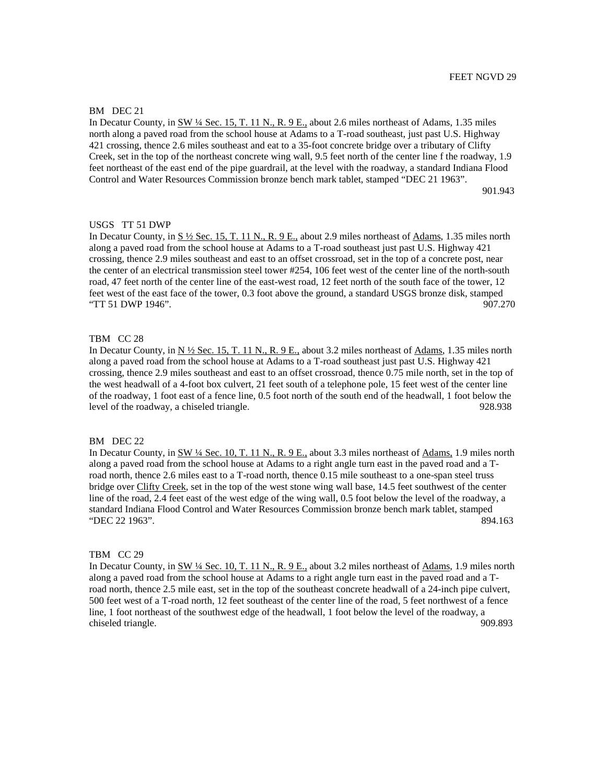## BM DEC 21

In Decatur County, in  $\frac{SW \mathcal{U}}{2}$  Sec. 15, T. 11 N., R. 9 E., about 2.6 miles northeast of Adams, 1.35 miles north along a paved road from the school house at Adams to a T-road southeast, just past U.S. Highway 421 crossing, thence 2.6 miles southeast and eat to a 35-foot concrete bridge over a tributary of Clifty Creek, set in the top of the northeast concrete wing wall, 9.5 feet north of the center line f the roadway, 1.9 feet northeast of the east end of the pipe guardrail, at the level with the roadway, a standard Indiana Flood Control and Water Resources Commission bronze bench mark tablet, stamped "DEC 21 1963".

901.943

### USGS TT 51 DWP

In Decatur County, in  $S \frac{1}{2}$  Sec. 15, T. 11 N., R. 9 E., about 2.9 miles northeast of Adams, 1.35 miles north along a paved road from the school house at Adams to a T-road southeast just past U.S. Highway 421 crossing, thence 2.9 miles southeast and east to an offset crossroad, set in the top of a concrete post, near the center of an electrical transmission steel tower #254, 106 feet west of the center line of the north-south road, 47 feet north of the center line of the east-west road, 12 feet north of the south face of the tower, 12 feet west of the east face of the tower, 0.3 foot above the ground, a standard USGS bronze disk, stamped "TT 51 DWP 1946". 907.270

# TBM CC 28

In Decatur County, in  $N \frac{1}{2}$  Sec. 15, T. 11 N., R. 9 E., about 3.2 miles northeast of Adams, 1.35 miles north along a paved road from the school house at Adams to a T-road southeast just past U.S. Highway 421 crossing, thence 2.9 miles southeast and east to an offset crossroad, thence 0.75 mile north, set in the top of the west headwall of a 4-foot box culvert, 21 feet south of a telephone pole, 15 feet west of the center line of the roadway, 1 foot east of a fence line, 0.5 foot north of the south end of the headwall, 1 foot below the level of the roadway, a chiseled triangle. 928.938

### BM DEC 22

In Decatur County, in SW <sup>1</sup>/4 Sec. 10, T. 11 N., R. 9 E., about 3.3 miles northeast of Adams, 1.9 miles north along a paved road from the school house at Adams to a right angle turn east in the paved road and a Troad north, thence 2.6 miles east to a T-road north, thence 0.15 mile southeast to a one-span steel truss bridge over Clifty Creek, set in the top of the west stone wing wall base, 14.5 feet southwest of the center line of the road, 2.4 feet east of the west edge of the wing wall, 0.5 foot below the level of the roadway, a standard Indiana Flood Control and Water Resources Commission bronze bench mark tablet, stamped "DEC 22 1963". 894.163

# TBM CC 29

In Decatur County, in SW <sup>1</sup>/4 Sec. 10, T. 11 N., R. 9 E., about 3.2 miles northeast of Adams, 1.9 miles north along a paved road from the school house at Adams to a right angle turn east in the paved road and a Troad north, thence 2.5 mile east, set in the top of the southeast concrete headwall of a 24-inch pipe culvert, 500 feet west of a T-road north, 12 feet southeast of the center line of the road, 5 feet northwest of a fence line, 1 foot northeast of the southwest edge of the headwall, 1 foot below the level of the roadway, a chiseled triangle. 909.893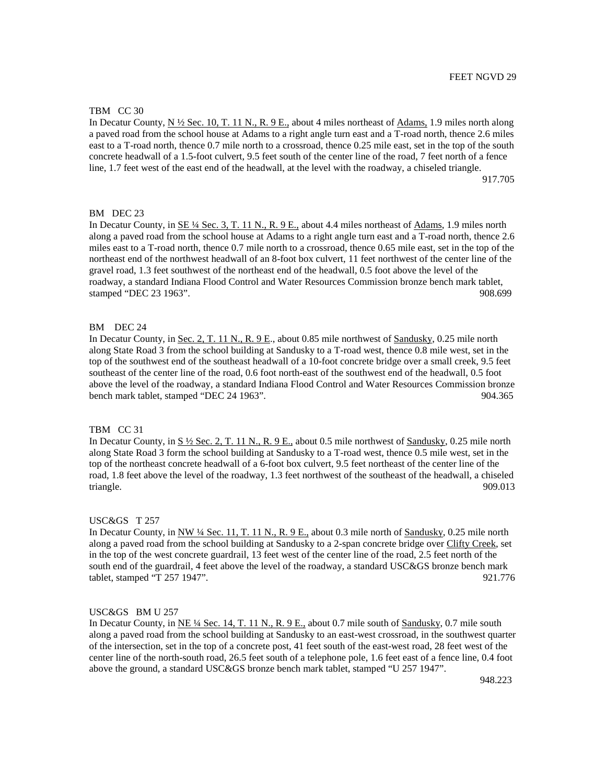## TBM CC 30

In Decatur County, N ½ Sec. 10, T. 11 N., R. 9 E., about 4 miles northeast of Adams, 1.9 miles north along a paved road from the school house at Adams to a right angle turn east and a T-road north, thence 2.6 miles east to a T-road north, thence 0.7 mile north to a crossroad, thence 0.25 mile east, set in the top of the south concrete headwall of a 1.5-foot culvert, 9.5 feet south of the center line of the road, 7 feet north of a fence line, 1.7 feet west of the east end of the headwall, at the level with the roadway, a chiseled triangle. 917.705

### BM DEC 23

In Decatur County, in SE ¼ Sec. 3, T. 11 N., R. 9 E., about 4.4 miles northeast of Adams, 1.9 miles north along a paved road from the school house at Adams to a right angle turn east and a T-road north, thence 2.6 miles east to a T-road north, thence 0.7 mile north to a crossroad, thence 0.65 mile east, set in the top of the northeast end of the northwest headwall of an 8-foot box culvert, 11 feet northwest of the center line of the gravel road, 1.3 feet southwest of the northeast end of the headwall, 0.5 foot above the level of the roadway, a standard Indiana Flood Control and Water Resources Commission bronze bench mark tablet, stamped "DEC 23 1963". 908.699

# BM DEC 24

In Decatur County, in Sec. 2, T. 11 N., R. 9 E., about 0.85 mile northwest of Sandusky, 0.25 mile north along State Road 3 from the school building at Sandusky to a T-road west, thence 0.8 mile west, set in the top of the southwest end of the southeast headwall of a 10-foot concrete bridge over a small creek, 9.5 feet southeast of the center line of the road, 0.6 foot north-east of the southwest end of the headwall, 0.5 foot above the level of the roadway, a standard Indiana Flood Control and Water Resources Commission bronze bench mark tablet, stamped "DEC 24 1963". 904.365

# TBM CC 31

In Decatur County, in  $S \frac{1}{2}$  Sec. 2, T. 11 N., R. 9 E., about 0.5 mile northwest of Sandusky, 0.25 mile north along State Road 3 form the school building at Sandusky to a T-road west, thence 0.5 mile west, set in the top of the northeast concrete headwall of a 6-foot box culvert, 9.5 feet northeast of the center line of the road, 1.8 feet above the level of the roadway, 1.3 feet northwest of the southeast of the headwall, a chiseled triangle. 909.013

#### USC&GS T 257

In Decatur County, in NW ¼ Sec. 11, T. 11 N., R. 9 E., about 0.3 mile north of Sandusky, 0.25 mile north along a paved road from the school building at Sandusky to a 2-span concrete bridge over Clifty Creek, set in the top of the west concrete guardrail, 13 feet west of the center line of the road, 2.5 feet north of the south end of the guardrail, 4 feet above the level of the roadway, a standard USC&GS bronze bench mark tablet, stamped "T 257 1947". 921.776

## USC&GS BM U 257

In Decatur County, in NE ¼ Sec. 14, T. 11 N., R. 9 E., about 0.7 mile south of Sandusky, 0.7 mile south along a paved road from the school building at Sandusky to an east-west crossroad, in the southwest quarter of the intersection, set in the top of a concrete post, 41 feet south of the east-west road, 28 feet west of the center line of the north-south road, 26.5 feet south of a telephone pole, 1.6 feet east of a fence line, 0.4 foot above the ground, a standard USC&GS bronze bench mark tablet, stamped "U 257 1947".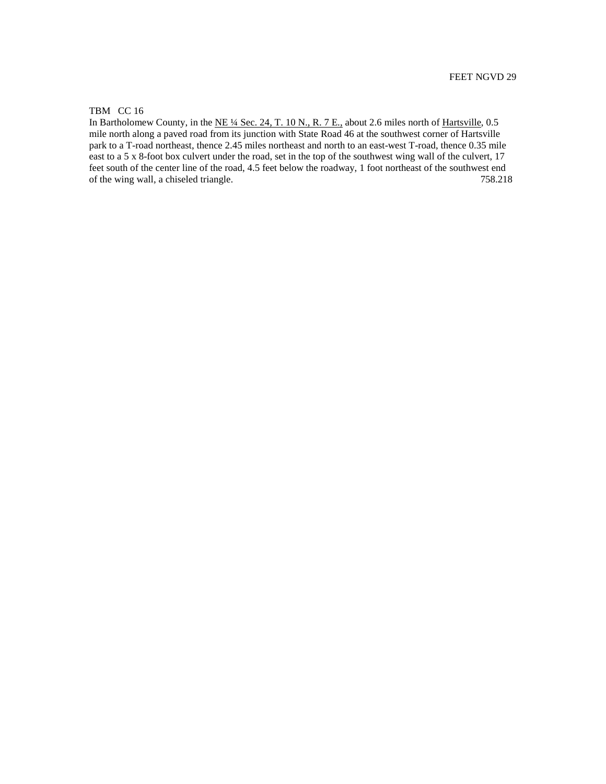# TBM CC 16

In Bartholomew County, in the NE ¼ Sec. 24, T. 10 N., R. 7 E., about 2.6 miles north of Hartsville, 0.5 mile north along a paved road from its junction with State Road 46 at the southwest corner of Hartsville park to a T-road northeast, thence 2.45 miles northeast and north to an east-west T-road, thence 0.35 mile east to a 5 x 8-foot box culvert under the road, set in the top of the southwest wing wall of the culvert, 17 feet south of the center line of the road, 4.5 feet below the roadway, 1 foot northeast of the southwest end of the wing wall, a chiseled triangle. 758.218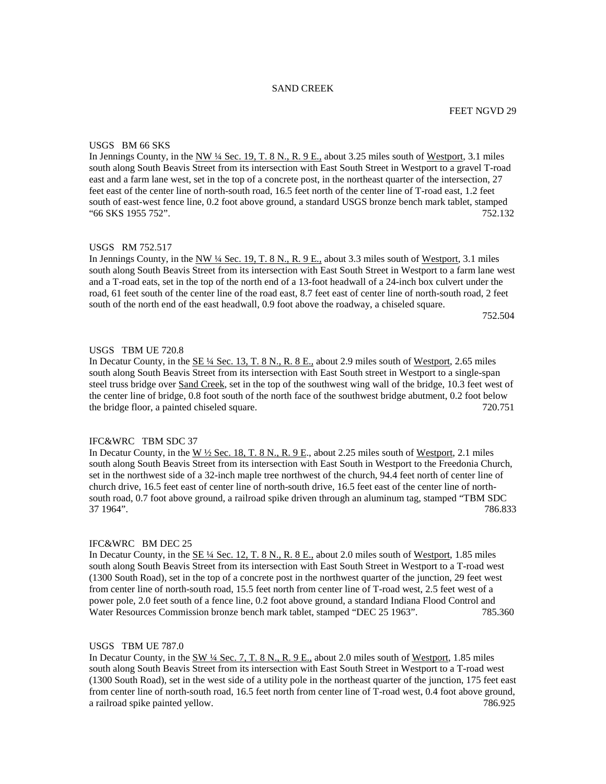# SAND CREEK

## USGS BM 66 SKS

In Jennings County, in the NW ¼ Sec. 19, T. 8 N., R. 9 E., about 3.25 miles south of Westport, 3.1 miles south along South Beavis Street from its intersection with East South Street in Westport to a gravel T-road east and a farm lane west, set in the top of a concrete post, in the northeast quarter of the intersection, 27 feet east of the center line of north-south road, 16.5 feet north of the center line of T-road east, 1.2 feet south of east-west fence line, 0.2 foot above ground, a standard USGS bronze bench mark tablet, stamped "66 SKS 1955 752". 752.132

### USGS RM 752.517

In Jennings County, in the NW  $\frac{1}{4}$  Sec. 19, T. 8 N., R. 9 E., about 3.3 miles south of Westport, 3.1 miles south along South Beavis Street from its intersection with East South Street in Westport to a farm lane west and a T-road eats, set in the top of the north end of a 13-foot headwall of a 24-inch box culvert under the road, 61 feet south of the center line of the road east, 8.7 feet east of center line of north-south road, 2 feet south of the north end of the east headwall, 0.9 foot above the roadway, a chiseled square.

752.504

# USGS TBM UE 720.8

In Decatur County, in the <u>SE ¼ Sec. 13, T. 8 N., R. 8 E.</u>, about 2.9 miles south of Westport, 2.65 miles south along South Beavis Street from its intersection with East South street in Westport to a single-span steel truss bridge over Sand Creek, set in the top of the southwest wing wall of the bridge, 10.3 feet west of the center line of bridge, 0.8 foot south of the north face of the southwest bridge abutment, 0.2 foot below the bridge floor, a painted chiseled square. 720.751

## IFC&WRC TBM SDC 37

In Decatur County, in the  $\underline{W \frac{1}{2}$  Sec. 18, T. 8 N., R. 9 E., about 2.25 miles south of Westport, 2.1 miles south along South Beavis Street from its intersection with East South in Westport to the Freedonia Church, set in the northwest side of a 32-inch maple tree northwest of the church, 94.4 feet north of center line of church drive, 16.5 feet east of center line of north-south drive, 16.5 feet east of the center line of northsouth road, 0.7 foot above ground, a railroad spike driven through an aluminum tag, stamped "TBM SDC 37 1964". 786.833

## IFC&WRC BM DEC 25

In Decatur County, in the SE 1/4 Sec. 12, T. 8 N., R. 8 E., about 2.0 miles south of Westport, 1.85 miles south along South Beavis Street from its intersection with East South Street in Westport to a T-road west (1300 South Road), set in the top of a concrete post in the northwest quarter of the junction, 29 feet west from center line of north-south road, 15.5 feet north from center line of T-road west, 2.5 feet west of a power pole, 2.0 feet south of a fence line, 0.2 foot above ground, a standard Indiana Flood Control and Water Resources Commission bronze bench mark tablet, stamped "DEC 25 1963". 785.360

#### USGS TBM UE 787.0

In Decatur County, in the SW ¼ Sec. 7, T. 8 N., R. 9 E., about 2.0 miles south of Westport, 1.85 miles south along South Beavis Street from its intersection with East South Street in Westport to a T-road west (1300 South Road), set in the west side of a utility pole in the northeast quarter of the junction, 175 feet east from center line of north-south road, 16.5 feet north from center line of T-road west, 0.4 foot above ground, a railroad spike painted yellow. 786.925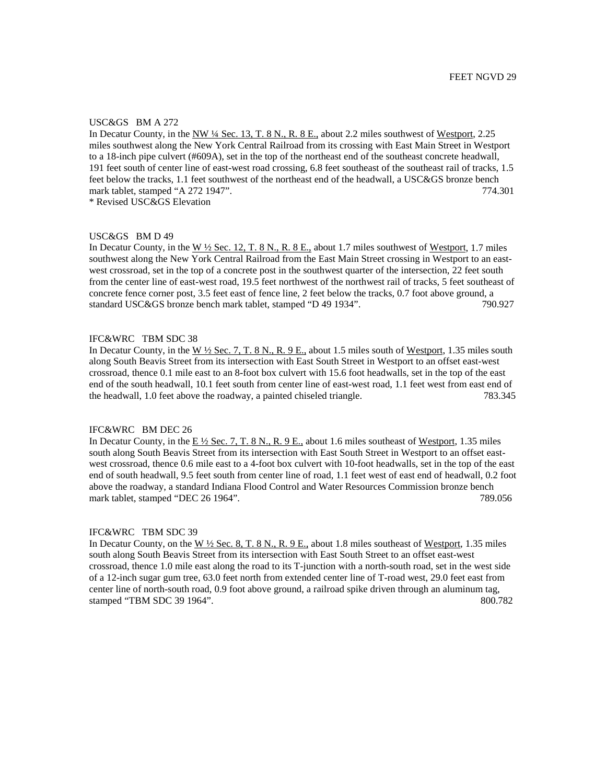## USC&GS BM A 272

In Decatur County, in the NW <sup>1</sup>4 Sec. 13, T. 8 N., R. 8 E., about 2.2 miles southwest of Westport, 2.25 miles southwest along the New York Central Railroad from its crossing with East Main Street in Westport to a 18-inch pipe culvert (#609A), set in the top of the northeast end of the southeast concrete headwall, 191 feet south of center line of east-west road crossing, 6.8 feet southeast of the southeast rail of tracks, 1.5 feet below the tracks, 1.1 feet southwest of the northeast end of the headwall, a USC&GS bronze bench mark tablet, stamped "A 272 1947". 774.301

\* Revised USC&GS Elevation

## USC&GS BM D 49

In Decatur County, in the W ½ Sec. 12, T. 8 N., R. 8 E., about 1.7 miles southwest of Westport, 1.7 miles southwest along the New York Central Railroad from the East Main Street crossing in Westport to an eastwest crossroad, set in the top of a concrete post in the southwest quarter of the intersection, 22 feet south from the center line of east-west road, 19.5 feet northwest of the northwest rail of tracks, 5 feet southeast of concrete fence corner post, 3.5 feet east of fence line, 2 feet below the tracks, 0.7 foot above ground, a standard USC&GS bronze bench mark tablet, stamped "D 49 1934". 790.927

# IFC&WRC TBM SDC 38

In Decatur County, in the W  $\frac{1}{2}$  Sec. 7, T. 8 N., R. 9 E., about 1.5 miles south of Westport, 1.35 miles south along South Beavis Street from its intersection with East South Street in Westport to an offset east-west crossroad, thence 0.1 mile east to an 8-foot box culvert with 15.6 foot headwalls, set in the top of the east end of the south headwall, 10.1 feet south from center line of east-west road, 1.1 feet west from east end of the headwall, 1.0 feet above the roadway, a painted chiseled triangle. 783.345

## IFC&WRC BM DEC 26

In Decatur County, in the  $E\frac{1}{2}$  Sec. 7, T. 8 N., R. 9 E., about 1.6 miles southeast of Westport, 1.35 miles south along South Beavis Street from its intersection with East South Street in Westport to an offset eastwest crossroad, thence 0.6 mile east to a 4-foot box culvert with 10-foot headwalls, set in the top of the east end of south headwall, 9.5 feet south from center line of road, 1.1 feet west of east end of headwall, 0.2 foot above the roadway, a standard Indiana Flood Control and Water Resources Commission bronze bench mark tablet, stamped "DEC 26 1964". 789.056

## IFC&WRC TBM SDC 39

In Decatur County, on the  $W \frac{1}{2}$  Sec. 8, T. 8 N., R. 9 E., about 1.8 miles southeast of Westport, 1.35 miles south along South Beavis Street from its intersection with East South Street to an offset east-west crossroad, thence 1.0 mile east along the road to its T-junction with a north-south road, set in the west side of a 12-inch sugar gum tree, 63.0 feet north from extended center line of T-road west, 29.0 feet east from center line of north-south road, 0.9 foot above ground, a railroad spike driven through an aluminum tag, stamped "TBM SDC 39 1964". 800.782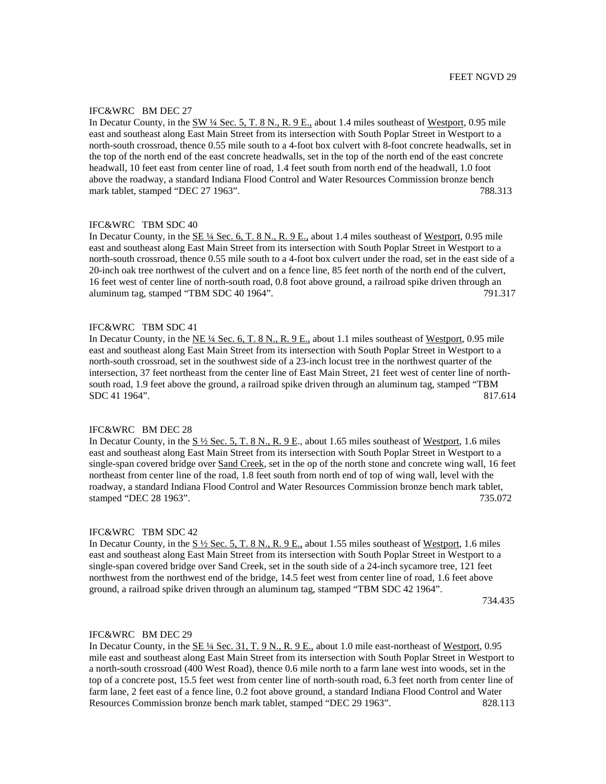## IFC&WRC BM DEC 27

In Decatur County, in the SW ¼ Sec. 5, T. 8 N., R. 9 E., about 1.4 miles southeast of Westport, 0.95 mile east and southeast along East Main Street from its intersection with South Poplar Street in Westport to a north-south crossroad, thence 0.55 mile south to a 4-foot box culvert with 8-foot concrete headwalls, set in the top of the north end of the east concrete headwalls, set in the top of the north end of the east concrete headwall, 10 feet east from center line of road, 1.4 feet south from north end of the headwall, 1.0 foot above the roadway, a standard Indiana Flood Control and Water Resources Commission bronze bench mark tablet, stamped "DEC 27 1963". 788.313

## IFC&WRC TBM SDC 40

In Decatur County, in the  $\underline{\text{SE 4/}}$  Sec. 6, T. 8 N., R. 9 E., about 1.4 miles southeast of Westport, 0.95 mile east and southeast along East Main Street from its intersection with South Poplar Street in Westport to a north-south crossroad, thence 0.55 mile south to a 4-foot box culvert under the road, set in the east side of a 20-inch oak tree northwest of the culvert and on a fence line, 85 feet north of the north end of the culvert, 16 feet west of center line of north-south road, 0.8 foot above ground, a railroad spike driven through an aluminum tag, stamped "TBM SDC 40 1964". 791.317

## IFC&WRC TBM SDC 41

In Decatur County, in the NE  $\frac{1}{4}$  Sec. 6, T. 8 N., R. 9 E., about 1.1 miles southeast of Westport, 0.95 mile east and southeast along East Main Street from its intersection with South Poplar Street in Westport to a north-south crossroad, set in the southwest side of a 23-inch locust tree in the northwest quarter of the intersection, 37 feet northeast from the center line of East Main Street, 21 feet west of center line of northsouth road, 1.9 feet above the ground, a railroad spike driven through an aluminum tag, stamped "TBM SDC 41 1964". 817.614

## IFC&WRC BM DEC 28

In Decatur County, in the  $S\frac{1}{2}$  Sec. 5, T. 8 N., R. 9 E., about 1.65 miles southeast of Westport, 1.6 miles east and southeast along East Main Street from its intersection with South Poplar Street in Westport to a single-span covered bridge over Sand Creek, set in the op of the north stone and concrete wing wall, 16 feet northeast from center line of the road, 1.8 feet south from north end of top of wing wall, level with the roadway, a standard Indiana Flood Control and Water Resources Commission bronze bench mark tablet, stamped "DEC 28 1963". 735.072

## IFC&WRC TBM SDC 42

In Decatur County, in the  $S\frac{1}{2}$  Sec. 5, T. 8 N., R. 9 E., about 1.55 miles southeast of Westport, 1.6 miles east and southeast along East Main Street from its intersection with South Poplar Street in Westport to a single-span covered bridge over Sand Creek, set in the south side of a 24-inch sycamore tree, 121 feet northwest from the northwest end of the bridge, 14.5 feet west from center line of road, 1.6 feet above ground, a railroad spike driven through an aluminum tag, stamped "TBM SDC 42 1964".

734.435

#### IFC&WRC BM DEC 29

In Decatur County, in the  $\underline{\text{SE 1/4} \text{ Sec. 31, T. 9 N.}}$ , R. 9 E., about 1.0 mile east-northeast of Westport, 0.95 mile east and southeast along East Main Street from its intersection with South Poplar Street in Westport to a north-south crossroad (400 West Road), thence 0.6 mile north to a farm lane west into woods, set in the top of a concrete post, 15.5 feet west from center line of north-south road, 6.3 feet north from center line of farm lane, 2 feet east of a fence line, 0.2 foot above ground, a standard Indiana Flood Control and Water Resources Commission bronze bench mark tablet, stamped "DEC 29 1963". 828.113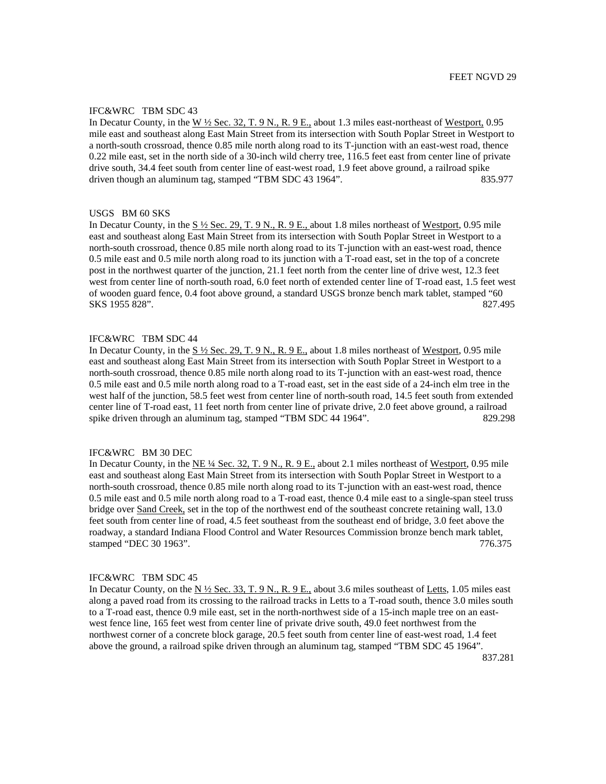## IFC&WRC TBM SDC 43

In Decatur County, in the W  $\frac{1}{2}$  Sec. 32, T. 9 N., R. 9 E., about 1.3 miles east-northeast of Westport, 0.95 mile east and southeast along East Main Street from its intersection with South Poplar Street in Westport to a north-south crossroad, thence 0.85 mile north along road to its T-junction with an east-west road, thence 0.22 mile east, set in the north side of a 30-inch wild cherry tree, 116.5 feet east from center line of private drive south, 34.4 feet south from center line of east-west road, 1.9 feet above ground, a railroad spike driven though an aluminum tag, stamped "TBM SDC 43 1964". 835.977

### USGS BM 60 SKS

In Decatur County, in the  $S\frac{1}{2}$  Sec. 29, T. 9 N., R. 9 E., about 1.8 miles northeast of Westport, 0.95 mile east and southeast along East Main Street from its intersection with South Poplar Street in Westport to a north-south crossroad, thence 0.85 mile north along road to its T-junction with an east-west road, thence 0.5 mile east and 0.5 mile north along road to its junction with a T-road east, set in the top of a concrete post in the northwest quarter of the junction, 21.1 feet north from the center line of drive west, 12.3 feet west from center line of north-south road, 6.0 feet north of extended center line of T-road east, 1.5 feet west of wooden guard fence, 0.4 foot above ground, a standard USGS bronze bench mark tablet, stamped "60 SKS 1955 828". 827.495

# IFC&WRC TBM SDC 44

In Decatur County, in the S  $\frac{1}{2}$  Sec. 29, T. 9 N., R. 9 E., about 1.8 miles northeast of Westport, 0.95 mile east and southeast along East Main Street from its intersection with South Poplar Street in Westport to a north-south crossroad, thence 0.85 mile north along road to its T-junction with an east-west road, thence 0.5 mile east and 0.5 mile north along road to a T-road east, set in the east side of a 24-inch elm tree in the west half of the junction, 58.5 feet west from center line of north-south road, 14.5 feet south from extended center line of T-road east, 11 feet north from center line of private drive, 2.0 feet above ground, a railroad spike driven through an aluminum tag, stamped "TBM SDC 44 1964". 829.298

## IFC&WRC BM 30 DEC

In Decatur County, in the NE  $\frac{1}{4}$  Sec. 32, T. 9 N., R. 9 E., about 2.1 miles northeast of Westport, 0.95 mile east and southeast along East Main Street from its intersection with South Poplar Street in Westport to a north-south crossroad, thence 0.85 mile north along road to its T-junction with an east-west road, thence 0.5 mile east and 0.5 mile north along road to a T-road east, thence 0.4 mile east to a single-span steel truss bridge over Sand Creek, set in the top of the northwest end of the southeast concrete retaining wall, 13.0 feet south from center line of road, 4.5 feet southeast from the southeast end of bridge, 3.0 feet above the roadway, a standard Indiana Flood Control and Water Resources Commission bronze bench mark tablet, stamped "DEC 30 1963". 776.375

### IFC&WRC TBM SDC 45

In Decatur County, on the N  $\frac{1}{2}$  Sec. 33, T. 9 N., R. 9 E., about 3.6 miles southeast of Letts, 1.05 miles east along a paved road from its crossing to the railroad tracks in Letts to a T-road south, thence 3.0 miles south to a T-road east, thence 0.9 mile east, set in the north-northwest side of a 15-inch maple tree on an eastwest fence line, 165 feet west from center line of private drive south, 49.0 feet northwest from the northwest corner of a concrete block garage, 20.5 feet south from center line of east-west road, 1.4 feet above the ground, a railroad spike driven through an aluminum tag, stamped "TBM SDC 45 1964".

837.281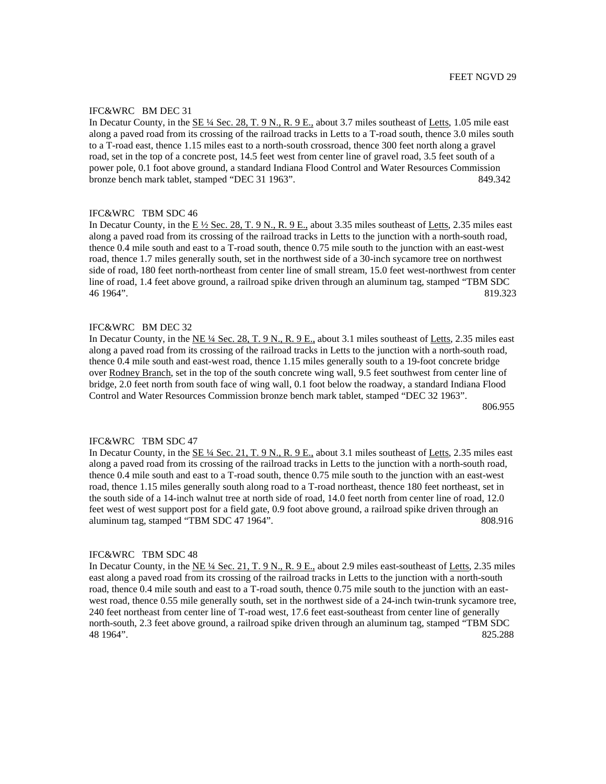# IFC&WRC BM DEC 31

In Decatur County, in the SE ¼ Sec. 28, T. 9 N., R. 9 E., about 3.7 miles southeast of Letts, 1.05 mile east along a paved road from its crossing of the railroad tracks in Letts to a T-road south, thence 3.0 miles south to a T-road east, thence 1.15 miles east to a north-south crossroad, thence 300 feet north along a gravel road, set in the top of a concrete post, 14.5 feet west from center line of gravel road, 3.5 feet south of a power pole, 0.1 foot above ground, a standard Indiana Flood Control and Water Resources Commission bronze bench mark tablet, stamped "DEC 31 1963". 849.342

# IFC&WRC TBM SDC 46

In Decatur County, in the  $E\frac{1}{2}$  Sec. 28, T. 9 N., R. 9 E., about 3.35 miles southeast of Letts, 2.35 miles east along a paved road from its crossing of the railroad tracks in Letts to the junction with a north-south road, thence 0.4 mile south and east to a T-road south, thence 0.75 mile south to the junction with an east-west road, thence 1.7 miles generally south, set in the northwest side of a 30-inch sycamore tree on northwest side of road, 180 feet north-northeast from center line of small stream, 15.0 feet west-northwest from center line of road, 1.4 feet above ground, a railroad spike driven through an aluminum tag, stamped "TBM SDC 46 1964". 819.323

## IFC&WRC BM DEC 32

In Decatur County, in the NE ¼ Sec. 28, T. 9 N., R. 9 E., about 3.1 miles southeast of Letts, 2.35 miles east along a paved road from its crossing of the railroad tracks in Letts to the junction with a north-south road, thence 0.4 mile south and east-west road, thence 1.15 miles generally south to a 19-foot concrete bridge over Rodney Branch, set in the top of the south concrete wing wall, 9.5 feet southwest from center line of bridge, 2.0 feet north from south face of wing wall, 0.1 foot below the roadway, a standard Indiana Flood Control and Water Resources Commission bronze bench mark tablet, stamped "DEC 32 1963".

806.955

### IFC&WRC TBM SDC 47

In Decatur County, in the  $\underline{\text{SE 4/4} \text{ Sec. 21, T. 9 N., R. 9 E.}}$  about 3.1 miles southeast of Letts, 2.35 miles east along a paved road from its crossing of the railroad tracks in Letts to the junction with a north-south road, thence 0.4 mile south and east to a T-road south, thence 0.75 mile south to the junction with an east-west road, thence 1.15 miles generally south along road to a T-road northeast, thence 180 feet northeast, set in the south side of a 14-inch walnut tree at north side of road, 14.0 feet north from center line of road, 12.0 feet west of west support post for a field gate, 0.9 foot above ground, a railroad spike driven through an aluminum tag, stamped "TBM SDC 47 1964". 808.916

## IFC&WRC TBM SDC 48

In Decatur County, in the NE ¼ Sec. 21, T. 9 N., R. 9 E., about 2.9 miles east-southeast of Letts, 2.35 miles east along a paved road from its crossing of the railroad tracks in Letts to the junction with a north-south road, thence 0.4 mile south and east to a T-road south, thence 0.75 mile south to the junction with an eastwest road, thence 0.55 mile generally south, set in the northwest side of a 24-inch twin-trunk sycamore tree, 240 feet northeast from center line of T-road west, 17.6 feet east-southeast from center line of generally north-south, 2.3 feet above ground, a railroad spike driven through an aluminum tag, stamped "TBM SDC 48 1964". 825.288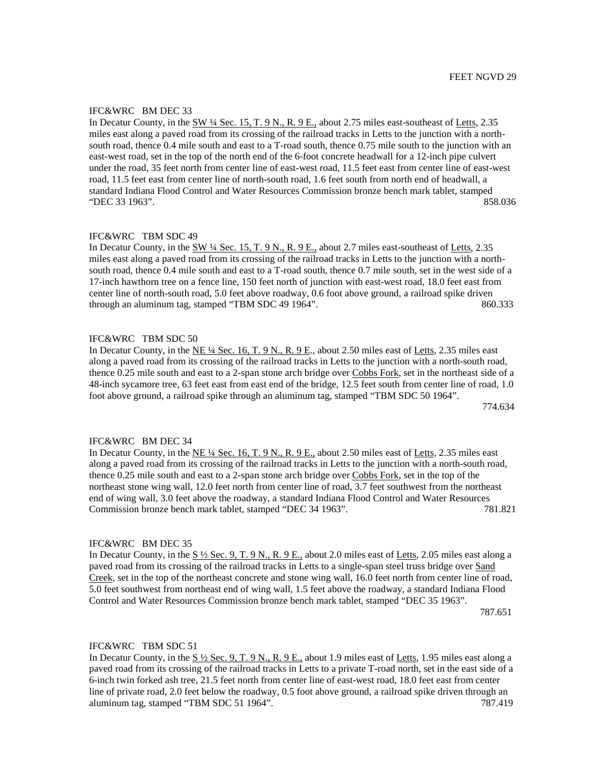## IFC&WRC BM DEC 33

In Decatur County, in the SW ¼ Sec. 15, T. 9 N., R. 9 E., about 2.75 miles east-southeast of Letts, 2.35 miles east along a paved road from its crossing of the railroad tracks in Letts to the junction with a northsouth road, thence 0.4 mile south and east to a T-road south, thence 0.75 mile south to the junction with an east-west road, set in the top of the north end of the 6-foot concrete headwall for a 12-inch pipe culvert under the road, 35 feet north from center line of east-west road, 11.5 feet east from center line of east-west road, 11.5 feet east from center line of north-south road, 1.6 feet south from north end of headwall, a standard Indiana Flood Control and Water Resources Commission bronze bench mark tablet, stamped "DEC 33 1963". 858.036

## IFC&WRC TBM SDC 49

In Decatur County, in the SW ¼ Sec. 15, T. 9 N., R. 9 E., about 2.7 miles east-southeast of Letts, 2.35 miles east along a paved road from its crossing of the railroad tracks in Letts to the junction with a northsouth road, thence 0.4 mile south and east to a T-road south, thence 0.7 mile south, set in the west side of a 17-inch hawthorn tree on a fence line, 150 feet north of junction with east-west road, 18.0 feet east from center line of north-south road, 5.0 feet above roadway, 0.6 foot above ground, a railroad spike driven through an aluminum tag, stamped "TBM SDC 49 1964". 860.333

# IFC&WRC TBM SDC 50

In Decatur County, in the NE ¼ Sec. 16, T. 9 N., R. 9 E., about 2.50 miles east of Letts, 2.35 miles east along a paved road from its crossing of the railroad tracks in Letts to the junction with a north-south road, thence 0.25 mile south and east to a 2-span stone arch bridge over Cobbs Fork, set in the northeast side of a 48-inch sycamore tree, 63 feet east from east end of the bridge, 12.5 feet south from center line of road, 1.0 foot above ground, a railroad spike through an aluminum tag, stamped "TBM SDC 50 1964".

774.634

## IFC&WRC BM DEC 34

In Decatur County, in the NE  $\frac{1}{4}$  Sec. 16, T. 9 N., R. 9 E., about 2.50 miles east of Letts, 2.35 miles east along a paved road from its crossing of the railroad tracks in Letts to the junction with a north-south road, thence 0.25 mile south and east to a 2-span stone arch bridge over Cobbs Fork, set in the top of the northeast stone wing wall, 12.0 feet north from center line of road, 3.7 feet southwest from the northeast end of wing wall, 3.0 feet above the roadway, a standard Indiana Flood Control and Water Resources Commission bronze bench mark tablet, stamped "DEC 34 1963". 781.821

### IFC&WRC BM DEC 35

In Decatur County, in the  $S\frac{1}{2}$  Sec. 9, T. 9 N., R. 9 E., about 2.0 miles east of Letts, 2.05 miles east along a paved road from its crossing of the railroad tracks in Letts to a single-span steel truss bridge over Sand Creek, set in the top of the northeast concrete and stone wing wall, 16.0 feet north from center line of road, 5.0 feet southwest from northeast end of wing wall, 1.5 feet above the roadway, a standard Indiana Flood Control and Water Resources Commission bronze bench mark tablet, stamped "DEC 35 1963".

787.651

#### IFC&WRC TBM SDC 51

In Decatur County, in the  $S\frac{1}{2}$  Sec. 9, T. 9 N., R. 9 E., about 1.9 miles east of Letts, 1.95 miles east along a paved road from its crossing of the railroad tracks in Letts to a private T-road north, set in the east side of a 6-inch twin forked ash tree, 21.5 feet north from center line of east-west road, 18.0 feet east from center line of private road, 2.0 feet below the roadway, 0.5 foot above ground, a railroad spike driven through an aluminum tag, stamped "TBM SDC 51 1964". 787.419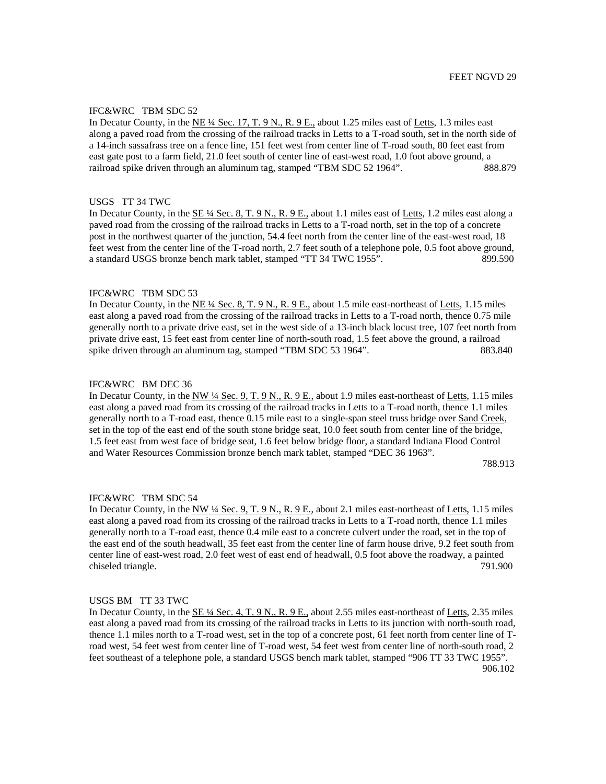## IFC&WRC TBM SDC 52

In Decatur County, in the NE ¼ Sec. 17, T. 9 N., R. 9 E., about 1.25 miles east of Letts, 1.3 miles east along a paved road from the crossing of the railroad tracks in Letts to a T-road south, set in the north side of a 14-inch sassafrass tree on a fence line, 151 feet west from center line of T-road south, 80 feet east from east gate post to a farm field, 21.0 feet south of center line of east-west road, 1.0 foot above ground, a railroad spike driven through an aluminum tag, stamped "TBM SDC 52 1964". 888.879

## USGS TT 34 TWC

In Decatur County, in the SE ¼ Sec. 8, T. 9 N., R. 9 E., about 1.1 miles east of Letts, 1.2 miles east along a paved road from the crossing of the railroad tracks in Letts to a T-road north, set in the top of a concrete post in the northwest quarter of the junction, 54.4 feet north from the center line of the east-west road, 18 feet west from the center line of the T-road north, 2.7 feet south of a telephone pole, 0.5 foot above ground, a standard USGS bronze bench mark tablet, stamped "TT 34 TWC 1955". 899.590

## IFC&WRC TBM SDC 53

In Decatur County, in the NE <sup>1/4</sup> Sec. 8, T. 9 N., R. 9 E., about 1.5 mile east-northeast of Letts, 1.15 miles east along a paved road from the crossing of the railroad tracks in Letts to a T-road north, thence 0.75 mile generally north to a private drive east, set in the west side of a 13-inch black locust tree, 107 feet north from private drive east, 15 feet east from center line of north-south road, 1.5 feet above the ground, a railroad spike driven through an aluminum tag, stamped "TBM SDC 53 1964". 883.840

### IFC&WRC BM DEC 36

In Decatur County, in the NW ¼ Sec. 9, T. 9 N., R. 9 E., about 1.9 miles east-northeast of Letts, 1.15 miles east along a paved road from its crossing of the railroad tracks in Letts to a T-road north, thence 1.1 miles generally north to a T-road east, thence 0.15 mile east to a single-span steel truss bridge over Sand Creek, set in the top of the east end of the south stone bridge seat, 10.0 feet south from center line of the bridge, 1.5 feet east from west face of bridge seat, 1.6 feet below bridge floor, a standard Indiana Flood Control and Water Resources Commission bronze bench mark tablet, stamped "DEC 36 1963".

788.913

### IFC&WRC TBM SDC 54

In Decatur County, in the NW ¼ Sec. 9, T. 9 N., R. 9 E., about 2.1 miles east-northeast of Letts, 1.15 miles east along a paved road from its crossing of the railroad tracks in Letts to a T-road north, thence 1.1 miles generally north to a T-road east, thence 0.4 mile east to a concrete culvert under the road, set in the top of the east end of the south headwall, 35 feet east from the center line of farm house drive, 9.2 feet south from center line of east-west road, 2.0 feet west of east end of headwall, 0.5 foot above the roadway, a painted chiseled triangle. 791.900

## USGS BM TT 33 TWC

In Decatur County, in the  $\underline{\text{SE 44 Sec. 4, T. 9 N., R. 9 E.,}}$  about 2.55 miles east-northeast of Letts, 2.35 miles east along a paved road from its crossing of the railroad tracks in Letts to its junction with north-south road, thence 1.1 miles north to a T-road west, set in the top of a concrete post, 61 feet north from center line of Troad west, 54 feet west from center line of T-road west, 54 feet west from center line of north-south road, 2 feet southeast of a telephone pole, a standard USGS bench mark tablet, stamped "906 TT 33 TWC 1955". 906.102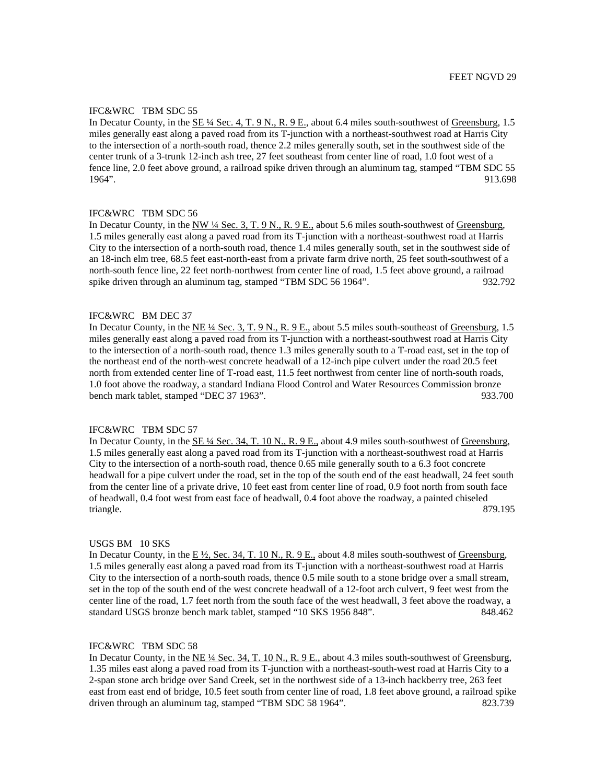## IFC&WRC TBM SDC 55

In Decatur County, in the SE ¼ Sec. 4, T. 9 N., R. 9 E., about 6.4 miles south-southwest of Greensburg, 1.5 miles generally east along a paved road from its T-junction with a northeast-southwest road at Harris City to the intersection of a north-south road, thence 2.2 miles generally south, set in the southwest side of the center trunk of a 3-trunk 12-inch ash tree, 27 feet southeast from center line of road, 1.0 foot west of a fence line, 2.0 feet above ground, a railroad spike driven through an aluminum tag, stamped "TBM SDC 55 1964". 913.698

# IFC&WRC TBM SDC 56

In Decatur County, in the NW ¼ Sec. 3, T. 9 N., R. 9 E., about 5.6 miles south-southwest of Greensburg, 1.5 miles generally east along a paved road from its T-junction with a northeast-southwest road at Harris City to the intersection of a north-south road, thence 1.4 miles generally south, set in the southwest side of an 18-inch elm tree, 68.5 feet east-north-east from a private farm drive north, 25 feet south-southwest of a north-south fence line, 22 feet north-northwest from center line of road, 1.5 feet above ground, a railroad spike driven through an aluminum tag, stamped "TBM SDC 56 1964". 932.792

### IFC&WRC BM DEC 37

In Decatur County, in the NE ¼ Sec. 3, T. 9 N., R. 9 E., about 5.5 miles south-southeast of Greensburg, 1.5 miles generally east along a paved road from its T-junction with a northeast-southwest road at Harris City to the intersection of a north-south road, thence 1.3 miles generally south to a T-road east, set in the top of the northeast end of the north-west concrete headwall of a 12-inch pipe culvert under the road 20.5 feet north from extended center line of T-road east, 11.5 feet northwest from center line of north-south roads, 1.0 foot above the roadway, a standard Indiana Flood Control and Water Resources Commission bronze bench mark tablet, stamped "DEC 37 1963". 933.700

### IFC&WRC TBM SDC 57

In Decatur County, in the SE ¼ Sec. 34, T. 10 N., R. 9 E., about 4.9 miles south-southwest of Greensburg, 1.5 miles generally east along a paved road from its T-junction with a northeast-southwest road at Harris City to the intersection of a north-south road, thence 0.65 mile generally south to a 6.3 foot concrete headwall for a pipe culvert under the road, set in the top of the south end of the east headwall, 24 feet south from the center line of a private drive, 10 feet east from center line of road, 0.9 foot north from south face of headwall, 0.4 foot west from east face of headwall, 0.4 foot above the roadway, a painted chiseled triangle. 879.195

## USGS BM 10 SKS

In Decatur County, in the  $E\frac{1}{2}$ , Sec. 34, T. 10 N., R. 9 E., about 4.8 miles south-southwest of Greensburg, 1.5 miles generally east along a paved road from its T-junction with a northeast-southwest road at Harris City to the intersection of a north-south roads, thence 0.5 mile south to a stone bridge over a small stream, set in the top of the south end of the west concrete headwall of a 12-foot arch culvert, 9 feet west from the center line of the road, 1.7 feet north from the south face of the west headwall, 3 feet above the roadway, a standard USGS bronze bench mark tablet, stamped "10 SKS 1956 848". 848.462

### IFC&WRC TBM SDC 58

In Decatur County, in the <u>NE ¼ Sec. 34, T. 10 N., R. 9 E.</u>, about 4.3 miles south-southwest of Greensburg, 1.35 miles east along a paved road from its T-junction with a northeast-south-west road at Harris City to a 2-span stone arch bridge over Sand Creek, set in the northwest side of a 13-inch hackberry tree, 263 feet east from east end of bridge, 10.5 feet south from center line of road, 1.8 feet above ground, a railroad spike driven through an aluminum tag, stamped "TBM SDC 58 1964". 823.739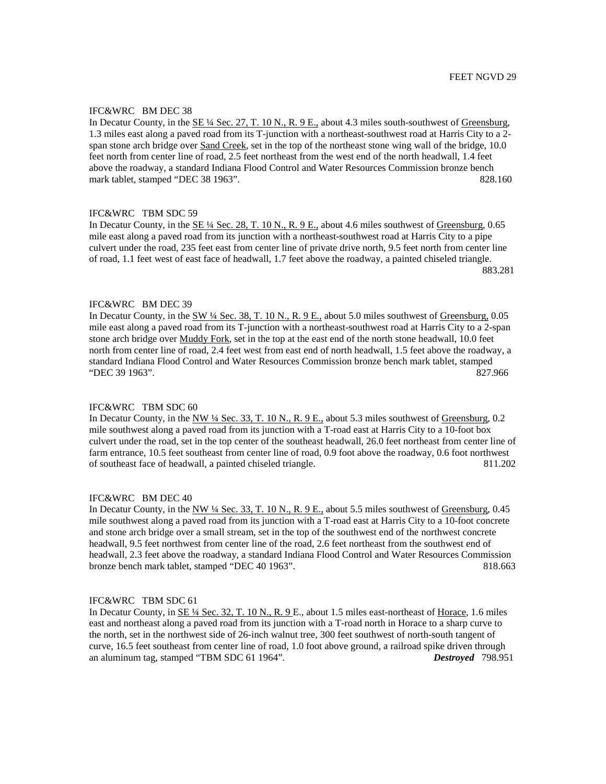# IFC&WRC BM DEC 38

In Decatur County, in the SE ¼ Sec. 27, T. 10 N., R. 9 E., about 4.3 miles south-southwest of Greensburg, 1.3 miles east along a paved road from its T-junction with a northeast-southwest road at Harris City to a 2 span stone arch bridge over Sand Creek, set in the top of the northeast stone wing wall of the bridge, 10.0 feet north from center line of road, 2.5 feet northeast from the west end of the north headwall, 1.4 feet above the roadway, a standard Indiana Flood Control and Water Resources Commission bronze bench mark tablet, stamped "DEC 38 1963". 828.160

# IFC&WRC TBM SDC 59

In Decatur County, in the SE ¼ Sec. 28, T. 10 N., R. 9 E., about 4.6 miles southwest of Greensburg, 0.65 mile east along a paved road from its junction with a northeast-southwest road at Harris City to a pipe culvert under the road, 235 feet east from center line of private drive north, 9.5 feet north from center line of road, 1.1 feet west of east face of headwall, 1.7 feet above the roadway, a painted chiseled triangle. 883.281

# IFC&WRC BM DEC 39

In Decatur County, in the  $\frac{SW 4}{4}$  Sec. 38, T. 10 N., R. 9 E., about 5.0 miles southwest of Greensburg, 0.05 mile east along a paved road from its T-junction with a northeast-southwest road at Harris City to a 2-span stone arch bridge over Muddy Fork, set in the top at the east end of the north stone headwall, 10.0 feet north from center line of road, 2.4 feet west from east end of north headwall, 1.5 feet above the roadway, a standard Indiana Flood Control and Water Resources Commission bronze bench mark tablet, stamped "DEC 39 1963". 827.966

## IFC&WRC TBM SDC 60

In Decatur County, in the NW 1/4 Sec. 33, T. 10 N., R. 9 E., about 5.3 miles southwest of Greensburg, 0.2 mile southwest along a paved road from its junction with a T-road east at Harris City to a 10-foot box culvert under the road, set in the top center of the southeast headwall, 26.0 feet northeast from center line of farm entrance, 10.5 feet southeast from center line of road, 0.9 foot above the roadway, 0.6 foot northwest of southeast face of headwall, a painted chiseled triangle. 811.202

## IFC&WRC BM DEC 40

In Decatur County, in the NW  $\frac{1}{4}$  Sec. 33, T. 10 N., R. 9 E., about 5.5 miles southwest of Greensburg, 0.45 mile southwest along a paved road from its junction with a T-road east at Harris City to a 10-foot concrete and stone arch bridge over a small stream, set in the top of the southwest end of the northwest concrete headwall, 9.5 feet northwest from center line of the road, 2.6 feet northeast from the southwest end of headwall, 2.3 feet above the roadway, a standard Indiana Flood Control and Water Resources Commission bronze bench mark tablet, stamped "DEC 40 1963". 818.663

# IFC&WRC TBM SDC 61

In Decatur County, in SE ¼ Sec. 32, T. 10 N., R. 9 E., about 1.5 miles east-northeast of Horace, 1.6 miles east and northeast along a paved road from its junction with a T-road north in Horace to a sharp curve to the north, set in the northwest side of 26-inch walnut tree, 300 feet southwest of north-south tangent of curve, 16.5 feet southeast from center line of road, 1.0 foot above ground, a railroad spike driven through an aluminum tag, stamped "TBM SDC 61 1964". *Destroyed* 798.951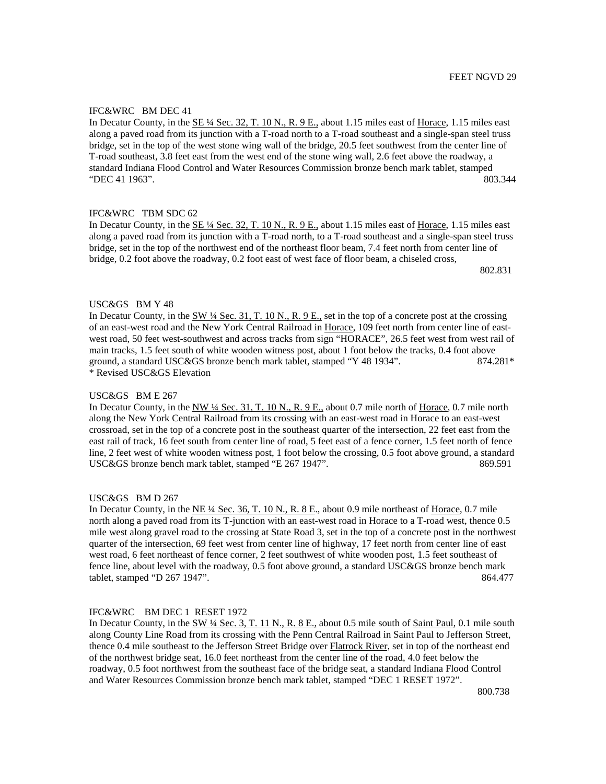## IFC&WRC BM DEC 41

In Decatur County, in the SE  $\frac{1}{4}$  Sec. 32, T. 10 N., R. 9 E., about 1.15 miles east of Horace, 1.15 miles east along a paved road from its junction with a T-road north to a T-road southeast and a single-span steel truss bridge, set in the top of the west stone wing wall of the bridge, 20.5 feet southwest from the center line of T-road southeast, 3.8 feet east from the west end of the stone wing wall, 2.6 feet above the roadway, a standard Indiana Flood Control and Water Resources Commission bronze bench mark tablet, stamped "DEC 41 1963". 803.344

# IFC&WRC TBM SDC 62

In Decatur County, in the SE  $\frac{1}{4}$  Sec. 32, T. 10 N., R. 9 E., about 1.15 miles east of Horace, 1.15 miles east along a paved road from its junction with a T-road north, to a T-road southeast and a single-span steel truss bridge, set in the top of the northwest end of the northeast floor beam, 7.4 feet north from center line of bridge, 0.2 foot above the roadway, 0.2 foot east of west face of floor beam, a chiseled cross,

802.831

## USC&GS BM Y 48

In Decatur County, in the  $\frac{SW 4}{4}$  Sec. 31, T. 10 N., R. 9 E., set in the top of a concrete post at the crossing of an east-west road and the New York Central Railroad in Horace, 109 feet north from center line of eastwest road, 50 feet west-southwest and across tracks from sign "HORACE", 26.5 feet west from west rail of main tracks, 1.5 feet south of white wooden witness post, about 1 foot below the tracks, 0.4 foot above ground, a standard USC&GS bronze bench mark tablet, stamped "Y 48 1934". 874.281\* \* Revised USC&GS Elevation

### USC&GS BM E 267

In Decatur County, in the NW ¼ Sec. 31, T. 10 N., R. 9 E., about 0.7 mile north of Horace, 0.7 mile north along the New York Central Railroad from its crossing with an east-west road in Horace to an east-west crossroad, set in the top of a concrete post in the southeast quarter of the intersection, 22 feet east from the east rail of track, 16 feet south from center line of road, 5 feet east of a fence corner, 1.5 feet north of fence line, 2 feet west of white wooden witness post, 1 foot below the crossing, 0.5 foot above ground, a standard USC&GS bronze bench mark tablet, stamped "E 267 1947". 869.591

## USC&GS BM D 267

In Decatur County, in the NE ¼ Sec. 36, T. 10 N., R. 8 E., about 0.9 mile northeast of Horace, 0.7 mile north along a paved road from its T-junction with an east-west road in Horace to a T-road west, thence 0.5 mile west along gravel road to the crossing at State Road 3, set in the top of a concrete post in the northwest quarter of the intersection, 69 feet west from center line of highway, 17 feet north from center line of east west road, 6 feet northeast of fence corner, 2 feet southwest of white wooden post, 1.5 feet southeast of fence line, about level with the roadway, 0.5 foot above ground, a standard USC&GS bronze bench mark tablet, stamped "D 267 1947". 864.477

# IFC&WRC BM DEC 1 RESET 1972

In Decatur County, in the SW ¼ Sec. 3, T. 11 N., R. 8 E., about 0.5 mile south of Saint Paul, 0.1 mile south along County Line Road from its crossing with the Penn Central Railroad in Saint Paul to Jefferson Street, thence 0.4 mile southeast to the Jefferson Street Bridge over **Flatrock River**, set in top of the northeast end of the northwest bridge seat, 16.0 feet northeast from the center line of the road, 4.0 feet below the roadway, 0.5 foot northwest from the southeast face of the bridge seat, a standard Indiana Flood Control and Water Resources Commission bronze bench mark tablet, stamped "DEC 1 RESET 1972".